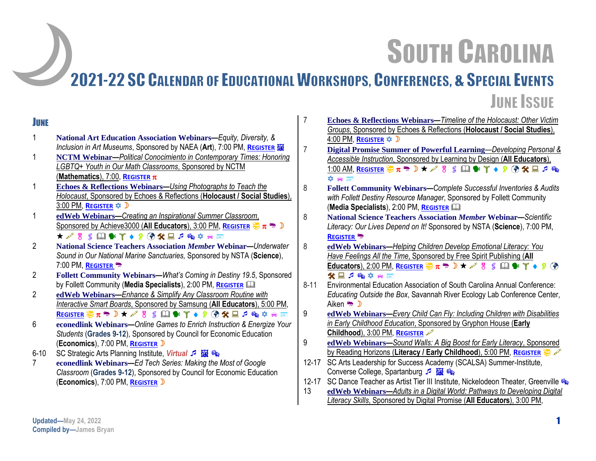# **SOUTH CAROLINA**

# 2021-22 SC CALENDAR OF EDUCATIONAL WORKSHOPS, CONFERENCES, & SPECIAL EVENTS **JUNE ISSUE**

#### **JUNE**

- 1 **National Art Education Association Webinars—***Equity, Diversity, &*  **Inclusion in Art Museums, Sponsored by NAEA (Art), 7:00 PM, R[EGISTER](https://virtual.arteducators.org/products/equity-diversity-and-inclusion-in-art-museums) FOR**
- 1 **NCTM Webinar***—Political Conocimiento in Contemporary Times: Honoring LGBTQ+ Youth in Our Math Classrooms*, Sponsored by NCTM (**Mathematics**), 7:00, **R[EGISTER](https://www.nctm.org/online-learning/Webinars/Details/612)**
- 1 **Echoes & Reflections Webinars***—Using Photographs to Teach the Holocaust*, Sponsored by Echoes & Reflections (**Holocaust / Social Studies**), 3:00 PM, **R[EGISTER](http://info.echoesandreflections.org/photography)**
- 1 **edWeb Webinars—***Creating an Inspirational Summer Classroom*, Sponsored by Achieve3000 (**All Educators**), 3:00 PM, **R[EGISTER](http://www.anymeeting.com/PIID=E159D785864B3D)** ★ 2 3 5 国家平◆ 9 7 父星アの卒日国
- 2 **National Science Teachers Association** *Member* **Webinar***—Underwater Sound in Our National Marine Sanctuaries,* Sponsored by NSTA (**Science**), 7:00 PM, **R[EGISTER](https://my.nsta.org/event/science-update-underwater-sound-in-our-national-marine-sanctuaries-june-2-2022)**
- 2 **Follett Community Webinars***—What's Coming in Destiny 19.5*, Sponsored by Follett Community (**Media Specialists**), 2:00 PM, **R[EGISTER](https://www.follettcommunity.com/s/communityevent/a1l2J000003jA4AQAU/whats-coming-in-destiny-195)**
- 2 **edWeb Webinars—***Enhance & Simplify Any Classroom Routine with Interactive Smart Boards*, Sponsored by Samsung (**All Educators**), 5:00 PM, **R[EGISTER](http://www.anymeeting.com/PIID=E159D988894E38) 要π<sup>需</sup>D★♂B ≤ 国警半◆9 → <del>8</del> → 2 → 6 → 中国**
- 6 **econedlink Webinars***—Online Games to Enrich Instruction & Energize Your Students* (**Grades 9-12**), Sponsored by Council for Economic Education (**Economics**), 7:00 PM, **R[EGISTER](https://econedlink.org/resources/online-games-to-enrich-instruction-and-energize-your-students/)**
- 6-10 SC Strategic Arts Planning Institute, *Virtual* 5 **Ex 8**
- 7 **econedlink Webinars***—Ed Tech Series: Making the Most of Google Classroom* (**Grades 9-12**), Sponsored by Council for Economic Education (**Economics**), 7:00 PM, **R[EGISTER](https://econedlink.org/resources/ed-tech-series-making-the-most-of-google-classroom/)**
- 7 **Echoes & Reflections Webinars***—Timeline of the Holocaust: Other Victim Groups*, Sponsored by Echoes & Reflections (**Holocaust / Social Studies**), 4:00 PM, **R[EGISTER](http://info.echoesandreflections.org/toth-other-groups?hs_preview=tjdjSwls-70521895005)** 7 **Digital Promise Summer of Powerful Learning**—*Developing Personal & Accessible Instruction*, Sponsored by Learning by Design (**All Educators**), 1:00 AM, R[EGISTER](https://www.eventbrite.com/e/vils-summer-of-powerful-learning-2022-registration-333239186377) <sup>B</sup><sub>π</sub><sup>→</sup> D ★ A B ≤ 国 ¥ T ◆ β ④ <del>X</del> 国 *p* ®  $\hat{\mathbf{X}}$  or  $\mathbb{R}^n$ 8 **Follett Community Webinars***—Complete Successful Inventories & Audits with Follett Destiny Resource Manager*, Sponsored by Follett Community (**Media Specialists**), 2:00 PM, **R[EGISTER](https://follett.zoom.us/webinar/register/6416504625222/WN_mpVGrvWBQrOo-Oxwp_XgSg)** 8 **National Science Teachers Association** *Member* **Webinar***—Scientific Literacy: Our Lives Depend on It!* Sponsored by NSTA (**Science**), 7:00 PM, **R[EGISTER](https://my.nsta.org/event/transforming-science-learning-scientific-literacy-our-lives-depend-on-it-june)** 8 **edWeb Webinars—***Helping Children Develop Emotional Literacy: You*
- *Have Feelings All the Time*, Sponsored by Free Spirit Publishing (**All Educators**), 2:00 PM, **R[EGISTER](http://www.anymeeting.com/PIID=E159DB8180463E)**  $\overline{\mathcal{D}}$   $\pi \rightarrow \mathcal{D}$   $\star \mathcal{L}$  8  $\leq$  1  $\bullet$  7  $\bullet$  9  $\circ$ 父日戸略立言画
- 8-11 Environmental Education Association of South Carolina Annual Conference: *Educating Outside the Box*, Savannah River Ecology Lab Conference Center, Aiken → D
- 9 **edWeb Webinars—***Every Child Can Fly: Including Children with Disabilities in Early Childhood Education*, Sponsored by Gryphon House (**Early Childhood**), 3:00 PM, **R[EGISTER](http://www.anymeeting.com/PIID=E159D788894E3E)**
- 9 **edWeb Webinars—***Sound Walls: A Big Boost for Early Literacy*, Sponsored **by Reading Horizons (Literacy / Early Childhood), 5:00 PM, R[EGISTER](http://www.anymeeting.com/PIID=E950DF8280473160)**  $\bigoplus$  **of**
- 12-17 SC Arts Leadership for Success Academy (SCALSA) Summer-Institute, Converse College, Spartanburg 5 **Ex**
- 12-17 SC Dance Teacher as Artist Tier III Institute, Nickelodeon Theater, Greenville
- 13 **edWeb Webinars—***Adults in a Digital World: Pathways to Developing Digital Literacy Skills*, Sponsored by Digital Promise (**All Educators**), 3:00 PM,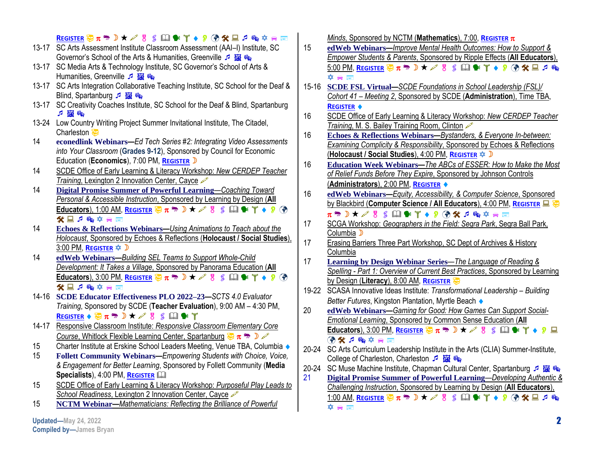|       | REGISTER 要π → ♪★ ♪ 8 S 印 * T ♦ 9 ⑦ % 旦 ♬ 喩 卒 ☆ ■<br>13-17 SC Arts Assessment Institute Classroom Assessment (AAI-I) Institute, SC                                                     | 15    | Minds, Sponsored by NCTM (Mathematics), 7:00, REGISTER $\pi$<br>ed Web Webinars-Improve Mental Health Outcomes: How to Support &                                                                                                                                                                               |
|-------|---------------------------------------------------------------------------------------------------------------------------------------------------------------------------------------|-------|----------------------------------------------------------------------------------------------------------------------------------------------------------------------------------------------------------------------------------------------------------------------------------------------------------------|
|       | Governor's School of the Arts & Humanities, Greenville 5 E &                                                                                                                          |       | Empower Students & Parents, Sponsored by Ripple Effects (All Educators),                                                                                                                                                                                                                                       |
|       | 13-17 SC Media Arts & Technology Institute, SC Governor's School of Arts &<br>Humanities, Greenville 5 E ®                                                                            |       | 5:00 PM, REGISTER $\overline{\mathfrak{P}}$ $\pi$ $\overline{\mathfrak{P}}$ $\lambda \nearrow \emptyset$ $S$ $\Box$ $\blacktriangleright$ $\Upsilon \rightarrow \emptyset$ $\mathfrak{P}$ $\mathfrak{P}$ $\mathfrak{P}$ $\mathfrak{P}$ $\mathfrak{P}$ $\mathfrak{P}$ $\mathfrak{P}$ $\mathfrak{P}$<br>卒合置      |
|       | 13-17 SC Arts Integration Collaborative Teaching Institute, SC School for the Deaf &                                                                                                  | 15-16 | SCDE FSL Virtual-SCDE Foundations in School Leadership (FSL)/                                                                                                                                                                                                                                                  |
|       | Blind, Spartanburg 戶圖                                                                                                                                                                 |       | Cohort 41 - Meeting 2, Sponsored by SCDE (Administration), Time TBA,                                                                                                                                                                                                                                           |
|       | 13-17 SC Creativity Coaches Institute, SC School for the Deaf & Blind, Spartanburg                                                                                                    |       | <b>REGISTER ♦</b>                                                                                                                                                                                                                                                                                              |
|       | 中国家                                                                                                                                                                                   | 16    | SCDE Office of Early Learning & Literacy Workshop: New CERDEP Teacher                                                                                                                                                                                                                                          |
|       | 13-24 Low Country Writing Project Summer Invitational Institute, The Citadel,                                                                                                         |       | Training, M. S. Bailey Training Room, Clinton $\mathscr{P}$                                                                                                                                                                                                                                                    |
|       | Charleston                                                                                                                                                                            | 16    | Echoes & Reflections Webinars-Bystanders, & Everyone In-between:                                                                                                                                                                                                                                               |
| 14    | econedlink Webinars-Ed Tech Series #2: Integrating Video Assessments                                                                                                                  |       | Examining Complicity & Responsibility, Sponsored by Echoes & Reflections                                                                                                                                                                                                                                       |
|       | into Your Classroom (Grades 9-12), Sponsored by Council for Economic                                                                                                                  |       | (Holocaust / Social Studies), 4:00 PM, REGISTER $\triangleq$ D                                                                                                                                                                                                                                                 |
|       | Education (Economics), 7:00 PM, REGISTER D                                                                                                                                            | 16    | Education Week Webinars-The ABCs of ESSER: How to Make the Most                                                                                                                                                                                                                                                |
| 14    | SCDE Office of Early Learning & Literacy Workshop: New CERDEP Teacher                                                                                                                 |       | of Relief Funds Before They Expire, Sponsored by Johnson Controls                                                                                                                                                                                                                                              |
| 14    | Training, Lexington 2 Innovation Center, Cayce                                                                                                                                        |       | (Administrators), 2:00 PM, REGISTER ♦                                                                                                                                                                                                                                                                          |
|       | <b>Digital Promise Summer of Powerful Learning-Coaching Toward</b><br>Personal & Accessible Instruction, Sponsored by Learning by Design (All                                         | 16    | edWeb Webinars-Equity, Accessibility, & Computer Science, Sponsored                                                                                                                                                                                                                                            |
|       | Educators), 1:00 AM, REGISTER $\bigoplus \pi \rightarrow \mathbb{R} \star \mathbb{R}$ & $\bigoplus$ $\mathbb{R} \times \mathbb{Y} \to \mathbb{R}$ $\bigoplus$                         |       | by Blackbird (Computer Science / All Educators), 4:00 PM, REGISTER E                                                                                                                                                                                                                                           |
|       | 父国戸陶立合画                                                                                                                                                                               |       |                                                                                                                                                                                                                                                                                                                |
| 14    | Echoes & Reflections Webinars-Using Animations to Teach about the                                                                                                                     | 17    | SCGA Workshop: Geographers in the Field: Segra Park, Segra Ball Park,                                                                                                                                                                                                                                          |
|       | Holocaust, Sponsored by Echoes & Reflections (Holocaust / Social Studies),                                                                                                            |       | Columbia D                                                                                                                                                                                                                                                                                                     |
|       | 3:00 PM, REGISTER $\approx$ D                                                                                                                                                         | 17    | <b>Erasing Barriers Three Part Workshop, SC Dept of Archives &amp; History</b>                                                                                                                                                                                                                                 |
| 14    | ed Web Webinars-Building SEL Teams to Support Whole-Child                                                                                                                             |       | Columbia                                                                                                                                                                                                                                                                                                       |
|       | Development: It Takes a Village, Sponsored by Panorama Education (All                                                                                                                 | 17    | <b>Learning by Design Webinar Series—The Language of Reading &amp;</b>                                                                                                                                                                                                                                         |
|       | Educators), 3:00 PM, REGISTER $\overline{\mathcal{D}}$ $\pi \rightarrow \mathbb{D}$ $\star \mathcal{P}$ 8 $\mathbb{S}$ $\Box$ $\bullet$ $\Upsilon \rightarrow \mathcal{P}$ ( $\phi$ ) |       | Spelling - Part 1: Overview of Current Best Practices, Sponsored by Learning                                                                                                                                                                                                                                   |
|       | 父国戸略卒合国                                                                                                                                                                               |       | by Design (Literacy), 8:00 AM, REGISTER                                                                                                                                                                                                                                                                        |
|       | 14-16 SCDE Educator Effectiveness PLO 2022-23-SCTS 4.0 Evaluator                                                                                                                      |       | 19-22 SCASA Innovative Ideas Institute: Transformational Leadership - Building<br>Better Futures, Kingston Plantation, Myrtle Beach ♦                                                                                                                                                                          |
|       | Training, Sponsored by SCDE (Teacher Evaluation), 9:00 AM - 4:30 PM,                                                                                                                  | 20    | ed Web Webinars-Gaming for Good: How Games Can Support Social-                                                                                                                                                                                                                                                 |
|       | REGISTER $\bullet \circledast \pi \circledast \rightarrow \star \mathscr{S}$ 8 \$ $\Box \bullet \circledast \top$                                                                     |       | <b>Emotional Learning, Sponsored by Common Sense Education (All</b>                                                                                                                                                                                                                                            |
| 14-17 | Responsive Classroom Institute: Responsive Classroom Elementary Core                                                                                                                  |       | Educators), 3:00 PM, REGISTER $\frac{1}{27}\pi \frac{1}{27}$ $\pi \approx 0$ $\pi \approx 0$ $\frac{1}{27}$ $\frac{1}{27}$ $\frac{1}{27}$ $\frac{1}{27}$ $\frac{1}{27}$ $\frac{1}{27}$ $\frac{1}{27}$ $\frac{1}{27}$ $\frac{1}{27}$ $\frac{1}{27}$ $\frac{1}{27}$ $\frac{1}{27}$ $\frac{1}{27}$ $\frac{1}{27}$ |
|       | Course, Whitlock Flexible Learning Center, Spartanburg $\frac{1}{2} \pi \rightarrow \infty$                                                                                           |       | (7) 大国 户 大 (7)                                                                                                                                                                                                                                                                                                 |
| 15    | Charter Institute at Erskine School Leaders Meeting, Venue TBA, Columbia ♦                                                                                                            |       | 20-24 SC Arts Curriculum Leadership Institute in the Arts (CLIA) Summer-Institute,                                                                                                                                                                                                                             |
| 15    | Follett Community Webinars-Empowering Students with Choice, Voice,                                                                                                                    |       | College of Charleston, Charleston 5 <b>15</b>                                                                                                                                                                                                                                                                  |
|       | & Engagement for Better Learning, Sponsored by Follett Community (Media                                                                                                               |       | 20-24 SC Muse Machine Institute, Chapman Cultural Center, Spartanburg 5 圖                                                                                                                                                                                                                                      |
|       | Specialists), 4:00 PM, REGISTER LA                                                                                                                                                    | 21    | Digital Promise Summer of Powerful Learning—Developing Authentic &                                                                                                                                                                                                                                             |
| 15    | SCDE Office of Early Learning & Literacy Workshop: Purposeful Play Leads to                                                                                                           |       | Challenging Instruction, Sponsored by Learning by Design (All Educators),                                                                                                                                                                                                                                      |
|       | School Readiness, Lexington 2 Innovation Center, Cayce                                                                                                                                |       | 1:00 AM, REGISTER ②π → D ★ ο 8 β 国 ● γ ◆ 9 ④ ※ 国 β ®                                                                                                                                                                                                                                                           |
| 15    | NCTM Webinar-Mathematicians: Reflecting the Brilliance of Powerful                                                                                                                    |       | 卒會圖                                                                                                                                                                                                                                                                                                            |
|       | Updated-May 24, 2022                                                                                                                                                                  |       | $\mathbf{2}$                                                                                                                                                                                                                                                                                                   |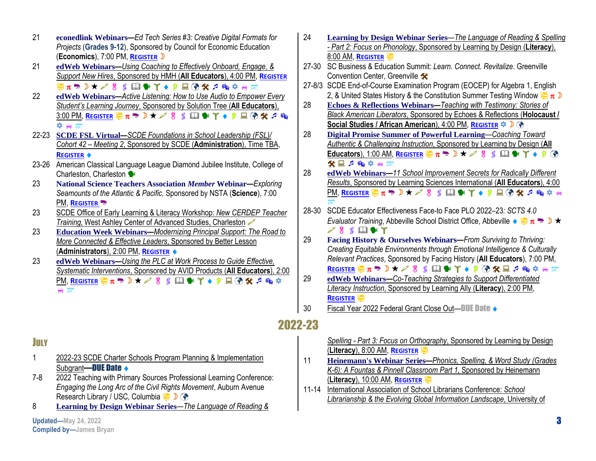- 21 **econedlink Webinars***—Ed Tech Series #3: Creative Digital Formats for Projects* (**Grades 9-12**), Sponsored by Council for Economic Education (**Economics**), 7:00 PM, **R[EGISTER](https://econedlink.org/resources/ed-tech-series-3-creative-digital-formats-for-projects/)**
- 21 **edWeb Webinars—***Using Coaching to Effectively Onboard, Engage, & Support New Hires*, Sponsored by HMH (**All Educators**), 4:00 PM, **R[EGISTER](http://www.anymeeting.com/PIID=E159D687814D30)** 要π → D ★ A 8 ≤ 国 → Y ◆ 9 国 ④ X J ® 卒 a 画
- 22 **edWeb Webinars—***Active Listening: How to Use Audio to Empower Every Student's Learning Journey*, Sponsored by Solution Tree (**All Educators**), 3:00 PM, R[EGISTER](http://www.anymeeting.com/PIID=E159DA85874C30) <sup>B</sup>π<sup>→</sup> D ★ <del>A</del> B S 国 → T ◆ D 国 ④ <del>X</del> J ®  $\star \bullet$   $\blacksquare$
- 22-23 **SCDE FSL Virtual—***SCDE Foundations in School Leadership (FSL)/ Cohort 42 – Meeting 2*, Sponsored by SCDE (**Administration**), Time TBA, **R[EGISTER](https://scde.formstack.com/forms/fsl2022_41)**
- 23-26 American Classical Language League Diamond Jubilee Institute, College of Charleston, Charleston
- 23 **National Science Teachers Association** *Member* **Webinar***—Exploring Seamounts of the Atlantic & Pacific,* Sponsored by NSTA (**Science**), 7:00 PM, **R[EGISTER](javascript:__doPostBack()**<sup>9</sup>
- 23 SCDE Office of Early Learning & Literacy Workshop: *New CERDEP Teacher Training*, West Ashley Center of Advanced Studies, Charleston
- 23 **Education Week Webinars—***Modernizing Principal Support: The Road to More Connected & Effective Leaders*, Sponsored by Better Lesson (**Administrators**), 2:00 PM, **R[EGISTER](https://event.on24.com/wcc/r/3807778/DD1DD66F03F91611970759FFEFBCE286)**
- 23 **edWeb Webinars—***Using the PLC at Work Process to Guide Effective, Systematic Interventions*, Sponsored by AVID Products (**All Educators**), 2:00 **PM, R[EGISTER](http://www.anymeeting.com/PIID=E950DF81854B3961) <b>DE** π<sup>m</sup>, D ★ β g β Ω \* Τ ◆ β Ω ④ <del>χ</del> ρ ® Φ  $\blacksquare$
- 24 **Learning by Design Webinar Series**—*The Language of Reading & Spelling - Part 2: Focus on Phonology*, Sponsored by Learning by Design (**Literacy**), 8:00 AM, **R[EGISTER](https://learningbydesign.com/professional-development/webinars/)**
- 27-30 SC Business & Education Summit: *Learn. Connect. Revitalize*. Greenville Convention Center, Greenville \*
- 27-8/3 SCDE End-of-Course Examination Program (EOCEP) for Algebra 1, English 2, & United States History & the Constitution Summer Testing Window  $\frac{1}{2}\pi$
- 28 **Echoes & Reflections Webinars***—Teaching with Testimony: Stories of Black American Liberators*, Sponsored by Echoes & Reflections (**Holocaust / Social Studies / African American**), 4:00 PM, **R[EGISTER](http://info.echoesandreflections.org/perpetrators-bystanders-and-everyone-in-between-examining-complicity-and-responsibility)**  $\triangleq$  **D** ⊘
- 28 **Digital Promise Summer of Powerful Learning**—*Coaching Toward Authentic & Challenging Instruction*, Sponsored by Learning by Design (**All Educators**), 1:00 AM, **R[EGISTER](https://www.eventbrite.com/e/vils-summer-of-powerful-learning-2022-registration-333239186377)**  $\overline{\mathcal{D}}$   $\pi \rightarrow \mathcal{D}$   $\star \mathcal{D}$  g  $\subseteq$   $\mathcal{D}$   $\bullet$   $\mathcal{T}$   $\bullet$   $\mathcal{D}$   $\circ$ 父国で働き合置
- 28 **edWeb Webinars—***11 School Improvement Secrets for Radically Different Results*, Sponsored by Learning Sciences International (**All Educators**), 4:00 PM, **R[EGISTER](http://www.anymeeting.com/PIID=E950DF83824B3A61)** and<br>1990
- 28-30 SCDE Educator Effectiveness Face-to Face PLO 2022–23*: SCTS 4.0 Evaluator Training*, Abbeville School District Office, Abbeville  $\bullet \overline{\bullet} \pi \rightarrow \mathbb{D} \star$  $\mathscr{S}$  8  $\blacksquare$ \* T
- 29 **Facing History & Ourselves Webinars***—From Surviving to Thriving: Creating Equitable Environments through Emotional Intelligence & Culturally Relevant Practices*, Sponsored by Facing History (**All Educators**), 7:00 PM,
	- **R[EGISTER](https://www.facinghistory.org/calendar/web2022uk5-introduction-teaching-standing-democracy) 要π<sup>需</sup>D★∥8 ≤ 国警半◆ β ④ <del>≪</del> 国ア® 卒 a 国**
- 29 **edWeb Webinars—***Co-Teaching Strategies to Support Differentiated Literacy Instruction*, Sponsored by Learning Ally (**Literacy**), 2:00 PM, **R[EGISTER](http://www.anymeeting.com/PIID=E950DF81894A3F67)**
- 30 Fiscal Year 2022 Federal Grant Close Out-DUE Date  $\leftrightarrow$

## 2022-23

#### JULY

- 1 2022-23 SCDE Charter Schools Program Planning & Implementation Subgrant-DUE Date  $\triangle$
- 7-8 2022 Teaching with Primary Sources Professional Learning Conference: *Engaging the Long Arc of the Civil Rights Movement*, Auburn Avenue Research Library / USC, Columbia  $\bigoplus$  D (?)
- 8 **Learning by Design Webinar Series**—*The Language of Reading &*

**Updated—May 24, 2022 Compiled by—James Bryan** *Spelling - Part 3: Focus on Orthography*, Sponsored by Learning by Design (**Literacy**), 8:00 AM, **R[EGISTER](https://learningbydesign.com/professional-development/webinars/)**

- 11 **Heinemann's Webinar Series—***Phonics, Spelling, & Word Study (Grades K-6): A Fountas & Pinnell Classroom Part 1*, Sponsored by Heinemann (**Literacy**), 10:00 AM, **R[EGISTER](https://www.heinemann.com/pd/livewebinars/products/wbfpcpwsk6.aspx#register)**
- 11-14 International Association of School Librarians Conference: *School Librarianship & the Evolving Global Information Landscape*, University of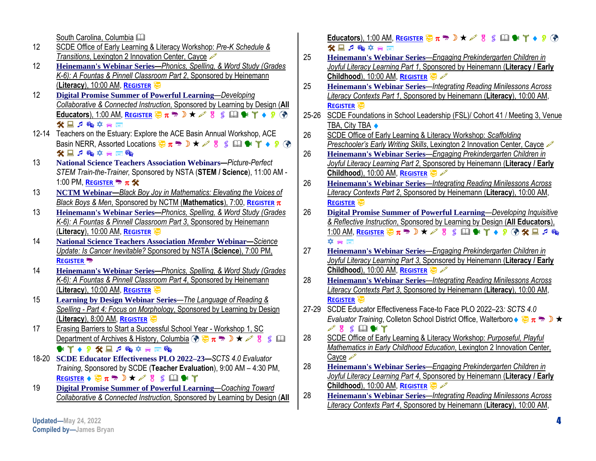South Carolina, Columbia

- 12 SCDE Office of Early Learning & Literacy Workshop: *Pre-K Schedule &*  **Transitions, Lexington 2 Innovation Center, Cayce**  $\infty$
- 12 **Heinemann's Webinar Series—***Phonics, Spelling, & Word Study (Grades K-6): A Fountas & Pinnell Classroom Part 2*, Sponsored by Heinemann (**Literacy**), 10:00 AM, **R[EGISTER](https://www.heinemann.com/pd/livewebinars/products/wbfpcpwsk6.aspx#register)**
- 12 **Digital Promise Summer of Powerful Learning**—*Developing Collaborative & Connected Instruction*, Sponsored by Learning by Design (**All Educators**), 1:00 AM, **R[EGISTER](https://www.eventbrite.com/e/vils-summer-of-powerful-learning-2022-registration-333239186377)**  $\overline{X}$   $\pi$   $\overline{Y}$   $\rightarrow$   $\mathcal{S}$   $\otimes$   $\mathcal{S}$   $\Box$   $\bullet$   $\mathcal{V}$   $\rightarrow$   $\circ$   $\circ$ 父国戸場立合圏
- 12-14 Teachers on the Estuary: Explore the ACE Basin Annual Workshop, ACE Basin NERR, Assorted Locations  $\frac{1}{2} \pi \frac{1}{2} \times \sqrt{8}$  s  $\Box \rightarrow \sqrt{8}$  ( $\partial$ ) 父国戶略卒合國略
- 13 **National Science Teachers Association Webinars***—Picture-Perfect STEM Train-the-Trainer,* Sponsored by NSTA (**STEM / Science**), 11:00 AM - 1:00 PM, **R[EGISTER](https://my.nsta.org/event/picture-perfect-stem-train-the-trainer-july-13-2022) ••** π **\***
- 13 **NCTM Webinar***—Black Boy Joy in Mathematics: Elevating the Voices of Black Boys & Men*, Sponsored by NCTM (**Mathematics**), 7:00, **R[EGISTER](https://www.nctm.org/online-learning/Webinars/Details/611)**
- 13 **Heinemann's Webinar Series—***Phonics, Spelling, & Word Study (Grades K-6): A Fountas & Pinnell Classroom Part 3*, Sponsored by Heinemann (**Literacy**), 10:00 AM, **R[EGISTER](https://www.heinemann.com/pd/livewebinars/products/wbfpcpwsk6.aspx#register)**
- 14 **National Science Teachers Association** *Member* **Webinar***—Science Update: Is Cancer Inevitable?* Sponsored by NSTA (**Science**), 7:00 PM, **R[EGISTER](https://my.nsta.org/event/science-update-is-cancer-inevitable-july-14-2022)**
- 14 **Heinemann's Webinar Series—***Phonics, Spelling, & Word Study (Grades K-6): A Fountas & Pinnell Classroom Part 4*, Sponsored by Heinemann (**Literacy**), 10:00 AM, **R[EGISTER](https://www.heinemann.com/pd/livewebinars/products/wbfpcpwsk6.aspx#register)**
- 15 **Learning by Design Webinar Series**—*The Language of Reading & Spelling - Part 4: Focus on Morphology*, Sponsored by Learning by Design (**Literacy**), 8:00 AM, **R[EGISTER](https://learningbydesign.com/professional-development/webinars/)**
- 17 Erasing Barriers to Start a Successful School Year Workshop 1, SC Department of Archives & History, Columbia  $\binom{2}{3}$   $\frac{1}{3}$   $\pi$   $\frac{1}{3}$   $\pi$   $\frac{1}{3}$   $\pi$   $\frac{1}{3}$   $\frac{1}{3}$   $\frac{1}{3}$   $\frac{11}{3}$  $\mathbf{A} = \mathbf{A} \otimes \mathbf{A} \otimes \mathbf{A} \otimes \mathbf{A} \otimes \mathbf{A} \otimes \mathbf{A} \otimes \mathbf{A} \otimes \mathbf{A} \otimes \mathbf{A} \otimes \mathbf{A} \otimes \mathbf{A} \otimes \mathbf{A} \otimes \mathbf{A} \otimes \mathbf{A} \otimes \mathbf{A} \otimes \mathbf{A} \otimes \mathbf{A} \otimes \mathbf{A} \otimes \mathbf{A} \otimes \mathbf{A} \otimes \mathbf{A} \otimes \mathbf{A} \otimes \mathbf{A} \otimes \mathbf{A}$
- 18-20 **SCDE Educator Effectiveness PLO 2022–23***—SCTS 4.0 Evaluator Training*, Sponsored by SCDE (**Teacher Evaluation**), 9:00 AM – 4:30 PM, **R[EGISTER](https://scde.formstack.com/forms/scts_evaluator_training_2022_2023_virtual)**  $\bullet$   $\overline{X}$   $\pi$   $\overline{\bullet}$   $\overline{B}$   $\star$   $\swarrow$   $\overline{S}$   $\leq$   $\Box$   $\bullet$   $\overline{T}$
- 19 **Digital Promise Summer of Powerful Learning**—*Coaching Toward Collaborative & Connected Instruction*, Sponsored by Learning by Design (**All**

**Educators**), 1:00 AM, **R[EGISTER](https://www.eventbrite.com/e/vils-summer-of-powerful-learning-2022-registration-333239186377)**  $\overline{\mathcal{D}}$   $\pi$   $\overline{\mathcal{D}}$   $\pi$   $\mathcal{D}$   $\pi$   $\mathcal{D}$  8  $\leq$  1  $\mathbb{R}$   $\mathcal{F}$   $\rightarrow$  9  $\mathcal{D}$ 父国戸略卒合置

- 25 **Heinemann's Webinar Series**—*Engaging Prekindergarten Children in Joyful Literacy Learning Part 1*, Sponsored by Heinemann (**Literacy / Early Childhood**), 10:00 AM, **R[EGISTER](https://www.heinemann.com/pd/livewebinars/products/wblbs.aspx#register)**
- 25 **Heinemann's Webinar Series**—*Integrating Reading Minilessons Across Literacy Contexts Part 1*, Sponsored by Heinemann (**Literacy**), 10:00 AM, **R[EGISTER](https://www.heinemann.com/pd/livewebinars/products/wbrmac.aspx#register)**
- 25-26 SCDE Foundations in School Leadership (FSL)/ Cohort 41 / Meeting 3, Venue TBA, City TBA ◆
- 26 SCDE Office of Early Learning & Literacy Workshop: *Scaffolding Preschooler's Early Writing Skills*, Lexington 2 Innovation Center, Cayce
- 26 **Heinemann's Webinar Series**—*Engaging Prekindergarten Children in Joyful Literacy Learning Part 2*, Sponsored by Heinemann (**Literacy / Early Childhood**), 10:00 AM, **R[EGISTER](https://www.heinemann.com/pd/livewebinars/products/wblbs.aspx#register)**
- 26 **Heinemann's Webinar Series**—*Integrating Reading Minilessons Across Literacy Contexts Part 2*, Sponsored by Heinemann (**Literacy**), 10:00 AM, **R[EGISTER](https://www.heinemann.com/pd/livewebinars/products/wbrmac.aspx#register)**
- 26 **Digital Promise Summer of Powerful Learning**—*Developing Inquisitive & Reflective Instruction*, Sponsored by Learning by Design (**All Educators**), 1:00 AM, R[EGISTER](https://www.eventbrite.com/e/vils-summer-of-powerful-learning-2022-registration-333239186377) <sub>3</sub>9 π → D ★ A B S 国 → T → D ④ <del>X</del> 国 *P* ®  $\star$   $\bullet$   $\equiv$
- 27 **Heinemann's Webinar Series**—*Engaging Prekindergarten Children in Joyful Literacy Learning Part 3*, Sponsored by Heinemann (**Literacy / Early Childhood**), 10:00 AM, **R[EGISTER](https://www.heinemann.com/pd/livewebinars/products/wblbs.aspx#register)**
- 28 **Heinemann's Webinar Series**—*Integrating Reading Minilessons Across Literacy Contexts Part 3*, Sponsored by Heinemann (**Literacy**), 10:00 AM, **R[EGISTER](https://www.heinemann.com/pd/livewebinars/products/wbrmac.aspx#register)**
- 27-29 SCDE Educator Effectiveness Face-to Face PLO 2022–23*: SCTS 4.0 Evaluator Training*, Colleton School District Office, Walterboro  $\bullet \overline{\Leftrightarrow \pi \Rightarrow \mathbb{D} \star}$  $880$
- 28 SCDE Office of Early Learning & Literacy Workshop: *Purposeful, Playful Mathematics in Early Childhood Education*, Lexington 2 Innovation Center, Cayce A
- 28 **Heinemann's Webinar Series**—*Engaging Prekindergarten Children in Joyful Literacy Learning Part 4*, Sponsored by Heinemann (**Literacy / Early Childhood**), 10:00 AM, **R[EGISTER](https://www.heinemann.com/pd/livewebinars/products/wblbs.aspx#register)**
- 28 **Heinemann's Webinar Series**—*Integrating Reading Minilessons Across Literacy Contexts Part 4*, Sponsored by Heinemann (**Literacy**), 10:00 AM,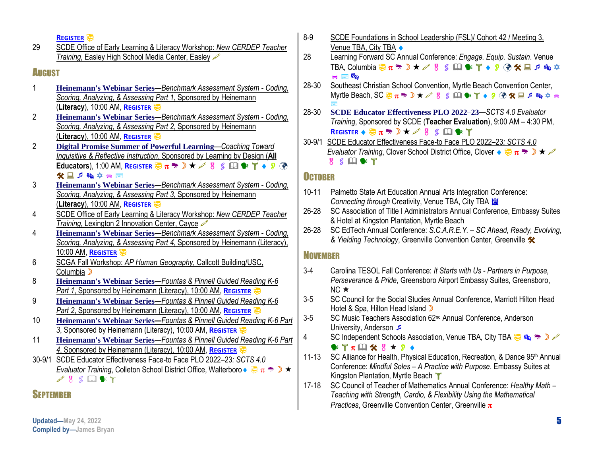**REGISTER**

29 SCDE Office of Early Learning & Literacy Workshop: *New CERDEP Teacher Training, Easley High School Media Center, Easley* 

### AUGUST

- 1 **Heinemann's Webinar Series—***Benchmark Assessment System - Coding, Scoring, Analyzing, & Assessing Part 1*, Sponsored by Heinemann (**Literacy**), 10:00 AM, **REGISTER**
- 2 **Heinemann's Webinar Series—***Benchmark Assessment System - Coding, Scoring, Analyzing, & Assessing Part 2*, Sponsored by Heinemann (**Literacy**), 10:00 AM, **REGISTER**
- 2 **Digital Promise Summer of Powerful Learning**—*Coaching Toward Inquisitive & Reflective Instruction*, Sponsored by Learning by Design (**All Educators**), 1:00 AM, **REGISTER**  $\overline{\mathcal{D}}$   $\pi$   $\overline{\mathcal{D}}$   $\star$   $\mathcal{S}$  **8 4 4 7**  $\bullet$  **9 4** 父日戸園立会園
- 3 **Heinemann's Webinar Series—***Benchmark Assessment System - Coding, Scoring, Analyzing, & Assessing Part 3*, Sponsored by Heinemann (**Literacy**), 10:00 AM, **REGISTER**
- 4 SCDE Office of Early Learning & Literacy Workshop: *New CERDEP Teacher Training*, Lexington 2 Innovation Center, Cavce
- 4 **Heinemann's Webinar Series**—*Benchmark Assessment System - Coding, Scoring, Analyzing, & Assessing Part 4*, Sponsored by Heinemann (Literacy), 10:00 AM, **REGISTER**
- 6 SCGA Fall Workshop: *AP Human Geography*, Callcott Building/USC, Columbia D
- 8 **Heinemann's Webinar Series**—*Fountas & Pinnell Guided Reading K-6 Part 1*, Sponsored by Heinemann (Literacy), 10:00 AM, **REGISTER**
- 9 **Heinemann's Webinar Series**—*Fountas & Pinnell Guided Reading K-6 Part 2*, Sponsored by Heinemann (Literacy), 10:00 AM, **REGISTER**
- 10 **Heinemann's Webinar Series—***Fountas & Pinnell Guided Reading K-6 Part 3*, Sponsored by Heinemann (Literacy), 10:00 AM, **REGISTER**
- 11 **Heinemann's Webinar Series**—*Fountas & Pinnell Guided Reading K-6 Part 4*, Sponsored by Heinemann (Literacy), 10:00 AM, **REGISTER**
- 30-9/1 SCDE Educator Effectiveness Face-to Face PLO 2022–23*: SCTS 4.0 Evaluator Training*, Colleton School District Office, Walterboro ♦  $\frac{1}{2} \pi \frac{1}{2} \pi \frac{1}{2}$  $\mathscr{P}$   $\mathscr{S}$   $\mathbb{Q}$   $\mathscr{C}$   $\mathscr{C}$

### SEPTEMBER

- 8-9 SCDE Foundations in School Leadership (FSL)/ Cohort 42 / Meeting 3, Venue TBA, City TBA  $\bullet$
- 28 Learning Forward SC Annual Conference: *Engage. Equip. Sustain*. Venue TBA, Columbia  $\frac{1}{32}\pi$   $\frac{1}{32}\times$  8  $\frac{1}{32}\times$  1  $\frac{1}{32}\times$  1  $\frac{1}{32}\times$  1  $\frac{1}{32}\times$  $\approx 50$
- 28-30 Southeast Christian School Convention, Myrtle Beach Convention Center, Myrtle Beach, SC  $\overline{\otimes} \pi$   $\Rightarrow$   $\Box \star \mathcal{L}$  &  $\mathcal{S}$   $\Box$   $\mathbb{R}$   $\Upsilon \star \mathcal{D}$   $\circledast \mathcal{H}$   $\Box$   $\Box$   $\otimes$   $\varphi$   $\ominus$ ē
- 28-30 **SCDE Educator Effectiveness PLO 2022–23***—SCTS 4.0 Evaluator Training*, Sponsored by SCDE (**Teacher Evaluation**), 9:00 AM – 4:30 PM, **REGISTER**  $\bullet \overline{\bigcirc} \pi \rightarrow \mathbb{D} \star \mathbb{I} \times \mathbb{I}$  \$  $\Box$   $\bullet$   $\Upsilon$
- 30-9/1 SCDE Educator Effectiveness Face-to Face PLO 2022–23*: SCTS 4.0 Evaluator Training*, Clover School District Office, Clover  $\leftrightarrow \overline{X}$   $\pi \rightarrow \overline{X}$  $8 S \mathbb{Q}$  \*  $Y$

#### **OCTOBER**

- 10-11 Palmetto State Art Education Annual Arts Integration Conference: **Connecting through Creativity, Venue TBA, City TBA**
- 26-28 SC Association of Title I Administrators Annual Conference, Embassy Suites & Hotel at Kingston Plantation, Myrtle Beach
- 26-28 SC EdTech Annual Conference: *S.C.A.R.E.Y. – SC Ahead, Ready, Evolving, & Yielding Technology*, Greenville Convention Center, Greenville

#### **NOVEMBER**

- 3-4 Carolina TESOL Fall Conference: *It Starts with Us - Partners in Purpose, Perseverance & Pride*, Greensboro Airport Embassy Suites, Greensboro,  $NC \star$
- 3-5 SC Council for the Social Studies Annual Conference, Marriott Hilton Head Hotel & Spa, Hilton Head Island D
- 3-5 SC Music Teachers Association 62<sup>nd</sup> Annual Conference, Anderson University, Anderson
- 4 SC Independent Schools Association, Venue TBA, City TBA

#### $\mathbf{F}$   $\mathbf{T}$   $\pi$   $\mathbf{H}$   $\mathbf{X}$   $\mathbf{B}$   $\star$   $\mathbf{D}$   $\star$

- 11-13 SC Alliance for Health, Physical Education, Recreation, & Dance 95<sup>th</sup> Annual Conference: *Mindful Soles – A Practice with Purpose*. Embassy Suites at Kingston Plantation, Myrtle Beach T
- 17-18 SC Council of Teacher of Mathematics Annual Conference: *Healthy Math – Teaching with Strength, Cardio, & Flexibility Using the Mathematical Practices*, Greenville Convention Center, Greenville  $\pi$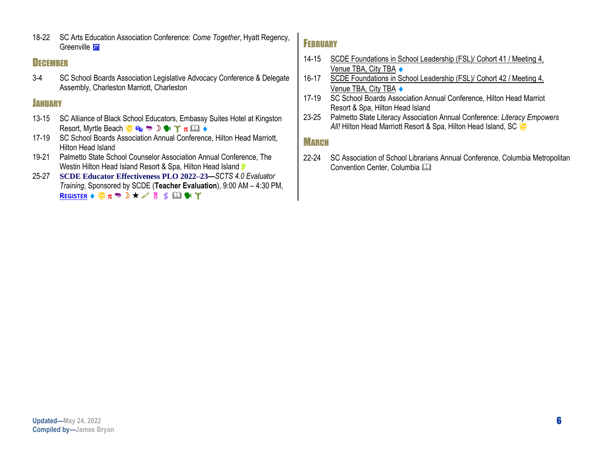18-22 SC Arts Education Association Conference: *Come Together*, Hyatt Regency, Greenville **面** 

#### **DECEMBER**

3-4 SC School Boards Association Legislative Advocacy Conference & Delegate Assembly, Charleston Marriott, Charleston

#### **JANUARY**

- 13-15 SC Alliance of Black School Educators, Embassy Suites Hotel at Kingston Resort, Myrtle Beach  $\bigoplus_{\mathfrak{B}} \mathfrak{G}_{\mathfrak{B}} \twoheadrightarrow \mathbb{D} \bullet \mathfrak{f}$   $\pi \boxdot \bullet$
- 17-19 SC School Boards Association Annual Conference, Hilton Head Marriott, Hilton Head Island
- 19-21 Palmetto State School Counselor Association Annual Conference, The Westin Hilton Head Island Resort & Spa, Hilton Head Island
- 25-27 **SCDE Educator Effectiveness PLO 2022–23***—SCTS 4.0 Evaluator Training*, Sponsored by SCDE (**Teacher Evaluation**), 9:00 AM – 4:30 PM, **REGISTER**  $\bullet \overline{\bigoplus} \pi \cong D \star \mathscr{L}$  &  $\cong$  **E**  $\cong$  **T**

#### **FEBRUARY**

- 14-15 SCDE Foundations in School Leadership (FSL)/ Cohort 41 / Meeting 4, Venue TBA, City TBA  $\bullet$
- 16-17 SCDE Foundations in School Leadership (FSL)/ Cohort 42 / Meeting 4, Venue TBA, City TBA ♦
- 17-19 SC School Boards Association Annual Conference, Hilton Head Marriot Resort & Spa, Hilton Head Island
- 23-25 Palmetto State Literacy Association Annual Conference: *Literacy Empowers*  All! Hilton Head Marriott Resort & Spa, Hilton Head Island, SC

### MARCH

22-24 SC Association of School Librarians Annual Conference, Columbia Metropolitan Convention Center, Columbia